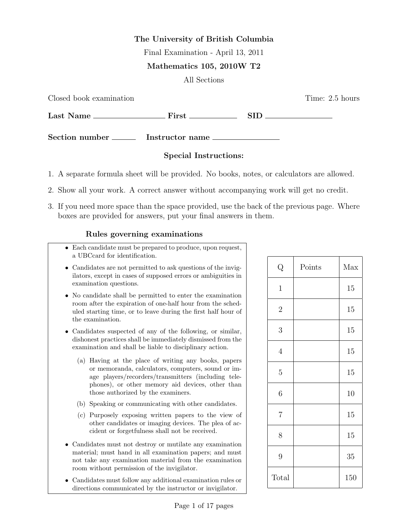## The University of British Columbia

Final Examination - April 13, 2011

## Mathematics 105, 2010W T2

All Sections

| Closed book examination                  |             |  | Time: 2.5 hours |
|------------------------------------------|-------------|--|-----------------|
| Last Name                                | First First |  |                 |
| Section number _________ Instructor name |             |  |                 |

## Special Instructions:

- 1. A separate formula sheet will be provided. No books, notes, or calculators are allowed.
- 2. Show all your work. A correct answer without accompanying work will get no credit.
- 3. If you need more space than the space provided, use the back of the previous page. Where boxes are provided for answers, put your final answers in them.

## Rules governing examinations

- Each candidate must be prepared to produce, upon request, a UBCcard for identification.
- Candidates are not permitted to ask questions of the invigilators, except in cases of supposed errors or ambiguities in examination questions.
- No candidate shall be permitted to enter the examination room after the expiration of one-half hour from the scheduled starting time, or to leave during the first half hour of the examination.
- Candidates suspected of any of the following, or similar, dishonest practices shall be immediately dismissed from the examination and shall be liable to disciplinary action.
	- (a) Having at the place of writing any books, papers or memoranda, calculators, computers, sound or image players/recorders/transmitters (including telephones), or other memory aid devices, other than those authorized by the examiners.
	- (b) Speaking or communicating with other candidates.
	- (c) Purposely exposing written papers to the view of other candidates or imaging devices. The plea of accident or forgetfulness shall not be received.
- Candidates must not destroy or mutilate any examination material; must hand in all examination papers; and must not take any examination material from the examination room without permission of the invigilator.
- Candidates must follow any additional examination rules or directions communicated by the instructor or invigilator.

| $\mathbf Q$    | Points | Max |
|----------------|--------|-----|
| $\mathbf{1}$   |        | 15  |
| $\sqrt{2}$     |        | 15  |
| 3              |        | 15  |
| $\overline{4}$ |        | 15  |
| $\overline{5}$ |        | 15  |
| $\sqrt{6}$     |        | 10  |
| $\overline{7}$ |        | 15  |
| 8              |        | 15  |
| 9              |        | 35  |
| Total          |        | 150 |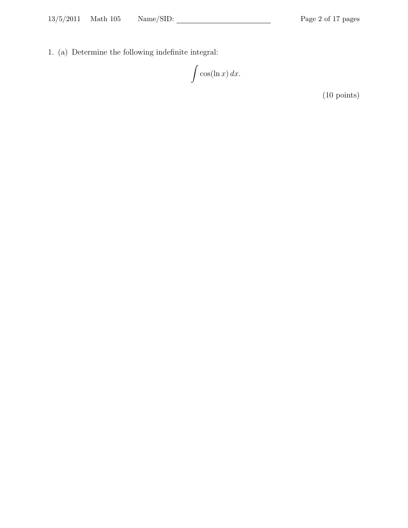1. (a) Determine the following indefinite integral:

$$
\int \cos(\ln x) \, dx.
$$

(10 points)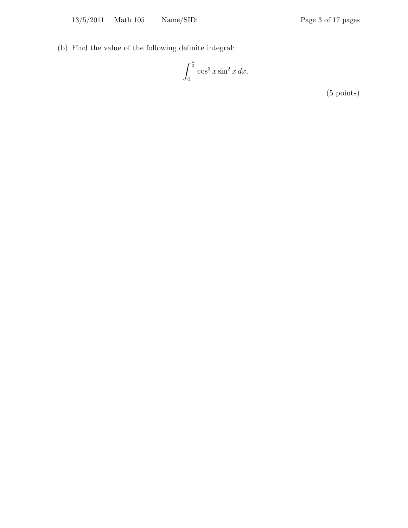(b) Find the value of the following definite integral:

$$
\int_0^{\frac{\pi}{2}} \cos^3 x \sin^2 x \, dx.
$$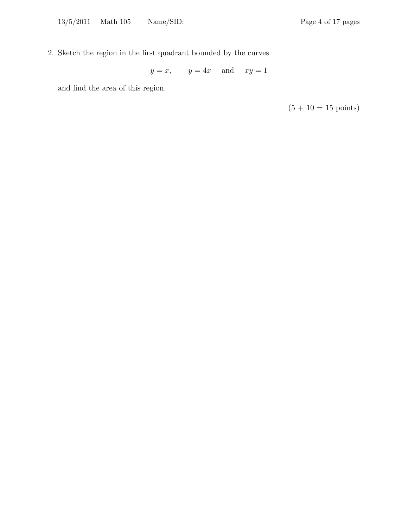2. Sketch the region in the first quadrant bounded by the curves

 $y = x$ ,  $y = 4x$  and  $xy = 1$ 

and find the area of this region.

 $(5 + 10 = 15 \text{ points})$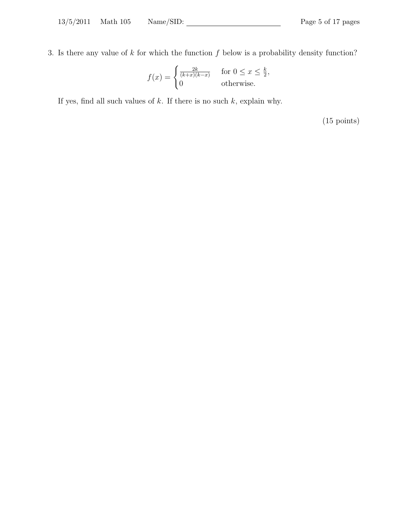3. Is there any value of  $k$  for which the function  $f$  below is a probability density function?

$$
f(x) = \begin{cases} \frac{2k}{(k+x)(k-x)} & \text{for } 0 \le x \le \frac{k}{2}, \\ 0 & \text{otherwise.} \end{cases}
$$

If yes, find all such values of  $k$ . If there is no such  $k$ , explain why.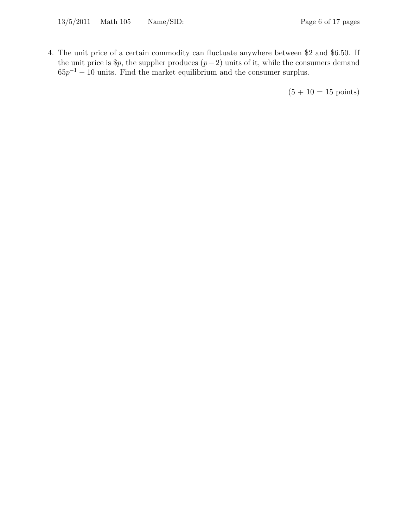4. The unit price of a certain commodity can fluctuate anywhere between \$2 and \$6.50. If the unit price is \$p, the supplier produces  $(p-2)$  units of it, while the consumers demand  $65p^{-1} - 10$  units. Find the market equilibrium and the consumer surplus.

 $(5 + 10 = 15 \text{ points})$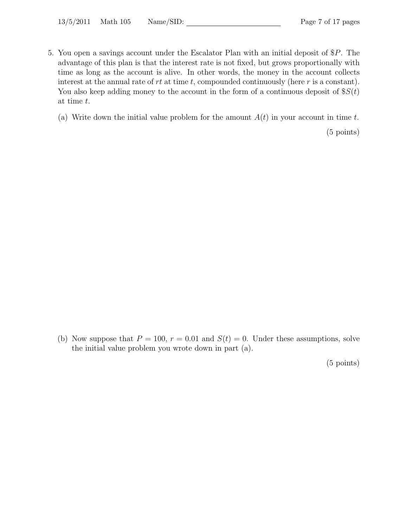- 5. You open a savings account under the Escalator Plan with an initial deposit of \$P. The advantage of this plan is that the interest rate is not fixed, but grows proportionally with time as long as the account is alive. In other words, the money in the account collects interest at the annual rate of  $rt$  at time  $t$ , compounded continuously (here  $r$  is a constant). You also keep adding money to the account in the form of a continuous deposit of  $S(t)$ at time t.
	- (a) Write down the initial value problem for the amount  $A(t)$  in your account in time t.

(5 points)

(b) Now suppose that  $P = 100$ ,  $r = 0.01$  and  $S(t) = 0$ . Under these assumptions, solve the initial value problem you wrote down in part (a).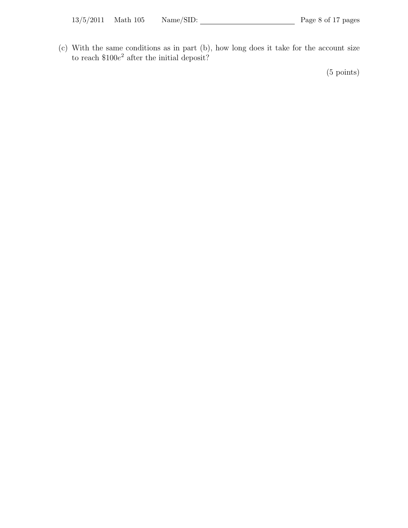(c) With the same conditions as in part (b), how long does it take for the account size to reach  $$100e^2$  after the initial deposit?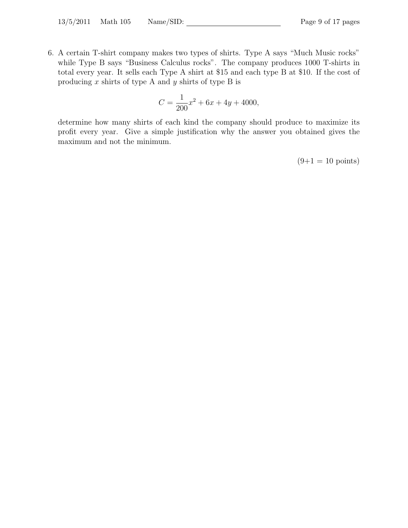6. A certain T-shirt company makes two types of shirts. Type A says "Much Music rocks" while Type B says "Business Calculus rocks". The company produces 1000 T-shirts in total every year. It sells each Type A shirt at \$15 and each type B at \$10. If the cost of producing  $x$  shirts of type A and  $y$  shirts of type B is

$$
C = \frac{1}{200}x^2 + 6x + 4y + 4000,
$$

determine how many shirts of each kind the company should produce to maximize its profit every year. Give a simple justification why the answer you obtained gives the maximum and not the minimum.

 $(9+1 = 10 \text{ points})$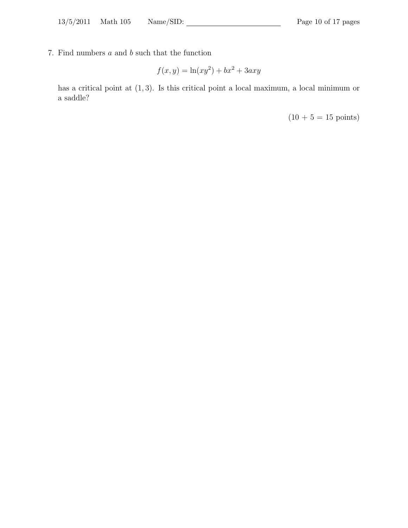7. Find numbers  $a$  and  $b$  such that the function

$$
f(x,y) = \ln(xy^2) + bx^2 + 3axy
$$

has a critical point at  $(1, 3)$ . Is this critical point a local maximum, a local minimum or a saddle?

 $(10 + 5 = 15 \text{ points})$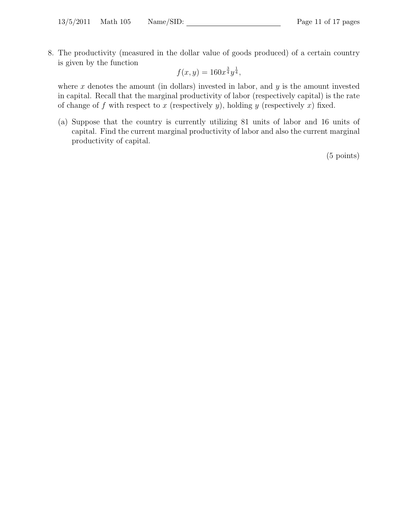8. The productivity (measured in the dollar value of goods produced) of a certain country is given by the function

$$
f(x,y) = 160x^{\frac{3}{4}}y^{\frac{1}{4}},
$$

where  $x$  denotes the amount (in dollars) invested in labor, and  $y$  is the amount invested in capital. Recall that the marginal productivity of labor (respectively capital) is the rate of change of f with respect to x (respectively y), holding y (respectively x) fixed.

(a) Suppose that the country is currently utilizing 81 units of labor and 16 units of capital. Find the current marginal productivity of labor and also the current marginal productivity of capital.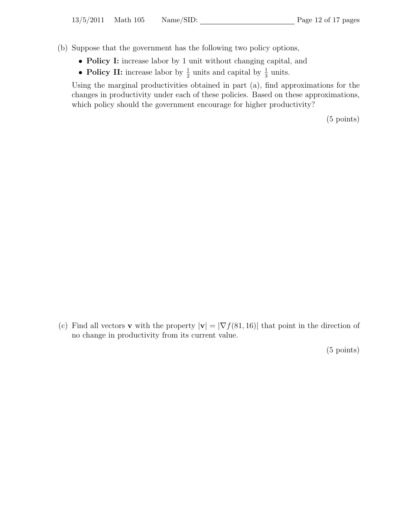(b) Suppose that the government has the following two policy options,

- Policy I: increase labor by 1 unit without changing capital, and
- Policy II: increase labor by  $\frac{1}{2}$  units and capital by  $\frac{1}{3}$  units.

Using the marginal productivities obtained in part (a), find approximations for the changes in productivity under each of these policies. Based on these approximations, which policy should the government encourage for higher productivity?

(5 points)

(c) Find all vectors **v** with the property  $|\mathbf{v}| = |\nabla f(81, 16)|$  that point in the direction of no change in productivity from its current value.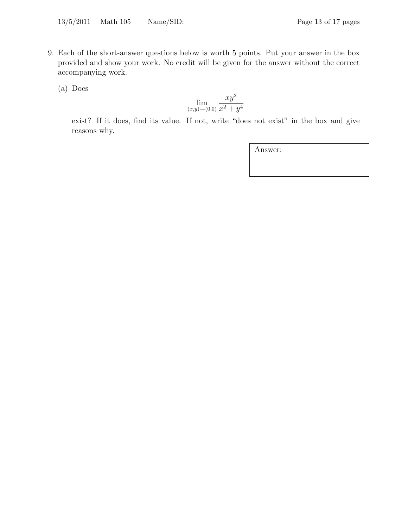- 9. Each of the short-answer questions below is worth 5 points. Put your answer in the box provided and show your work. No credit will be given for the answer without the correct accompanying work.
	- (a) Does

$$
\lim_{(x,y)\to(0,0)}\frac{xy^2}{x^2+y^4}
$$

exist? If it does, find its value. If not, write "does not exist" in the box and give reasons why.

Answer: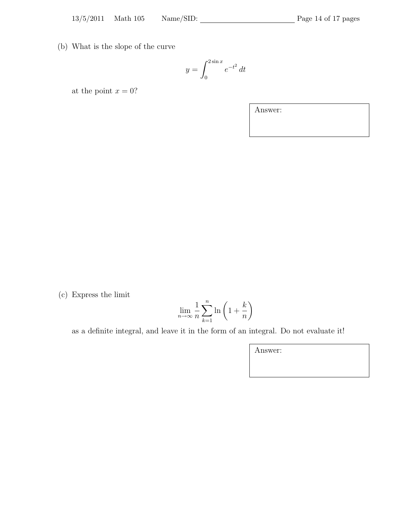(b) What is the slope of the curve

$$
y = \int_0^{2\sin x} e^{-t^2} dt
$$

at the point  $x = 0$ ?

Answer:

(c) Express the limit

$$
\lim_{n \to \infty} \frac{1}{n} \sum_{k=1}^{n} \ln\left(1 + \frac{k}{n}\right)
$$

as a definite integral, and leave it in the form of an integral. Do not evaluate it!

Answer: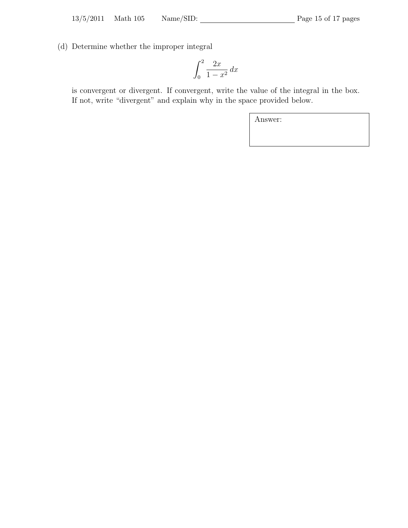(d) Determine whether the improper integral

$$
\int_0^2 \frac{2x}{1-x^2} \, dx
$$

is convergent or divergent. If convergent, write the value of the integral in the box. If not, write "divergent" and explain why in the space provided below.

Answer: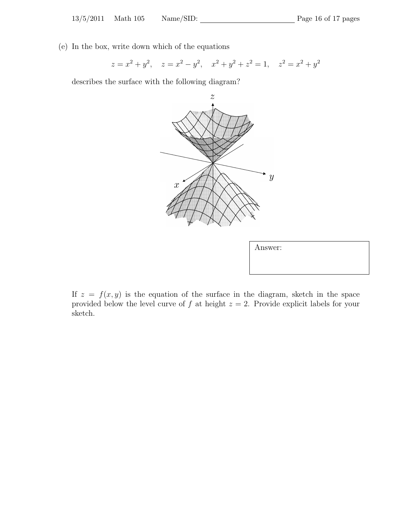(e) In the box, write down which of the equations

$$
z = x2 + y2
$$
,  $z = x2 - y2$ ,  $x2 + y2 + z2 = 1$ ,  $z2 = x2 + y2$ 

describes the surface with the following diagram?



If  $z = f(x, y)$  is the equation of the surface in the diagram, sketch in the space provided below the level curve of f at height  $z = 2$ . Provide explicit labels for your sketch.